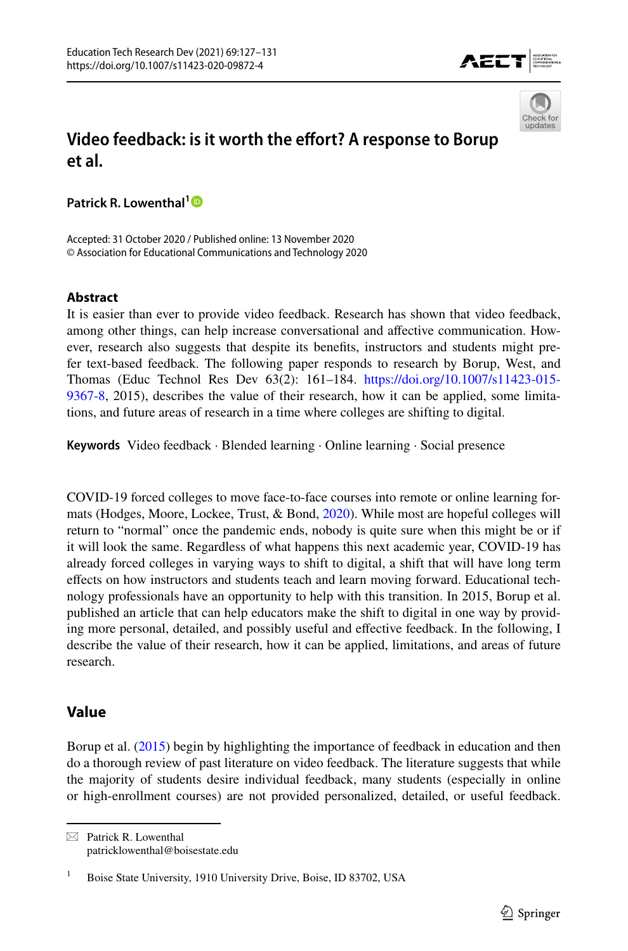



# Video feedback: is it worth the effort? A response to Borup **et al.**

**Patrick R. Lowenthal[1](https://orcid.org/0000-0002-9318-1909)**

Accepted: 31 October 2020 / Published online: 13 November 2020 © Association for Educational Communications and Technology 2020

## **Abstract**

It is easier than ever to provide video feedback. Research has shown that video feedback, among other things, can help increase conversational and afective communication. However, research also suggests that despite its benefts, instructors and students might prefer text-based feedback. The following paper responds to research by Borup, West, and Thomas (Educ Technol Res Dev 63(2): 161–184. [https://doi.org/10.1007/s11423-015-](https://doi.org/10.1007/s11423-015-9367-8) [9367-8,](https://doi.org/10.1007/s11423-015-9367-8) 2015), describes the value of their research, how it can be applied, some limitations, and future areas of research in a time where colleges are shifting to digital.

**Keywords** Video feedback · Blended learning · Online learning · Social presence

COVID-19 forced colleges to move face-to-face courses into remote or online learning formats (Hodges, Moore, Lockee, Trust, & Bond, [2020\)](#page-3-0). While most are hopeful colleges will return to "normal" once the pandemic ends, nobody is quite sure when this might be or if it will look the same. Regardless of what happens this next academic year, COVID-19 has already forced colleges in varying ways to shift to digital, a shift that will have long term efects on how instructors and students teach and learn moving forward. Educational technology professionals have an opportunity to help with this transition. In 2015, Borup et al. published an article that can help educators make the shift to digital in one way by providing more personal, detailed, and possibly useful and efective feedback. In the following, I describe the value of their research, how it can be applied, limitations, and areas of future research.

# **Value**

Borup et al. ([2015\)](#page-3-1) begin by highlighting the importance of feedback in education and then do a thorough review of past literature on video feedback. The literature suggests that while the majority of students desire individual feedback, many students (especially in online or high-enrollment courses) are not provided personalized, detailed, or useful feedback.

 $\boxtimes$  Patrick R. Lowenthal patricklowenthal@boisestate.edu

<sup>&</sup>lt;sup>1</sup> Boise State University, 1910 University Drive, Boise, ID 83702, USA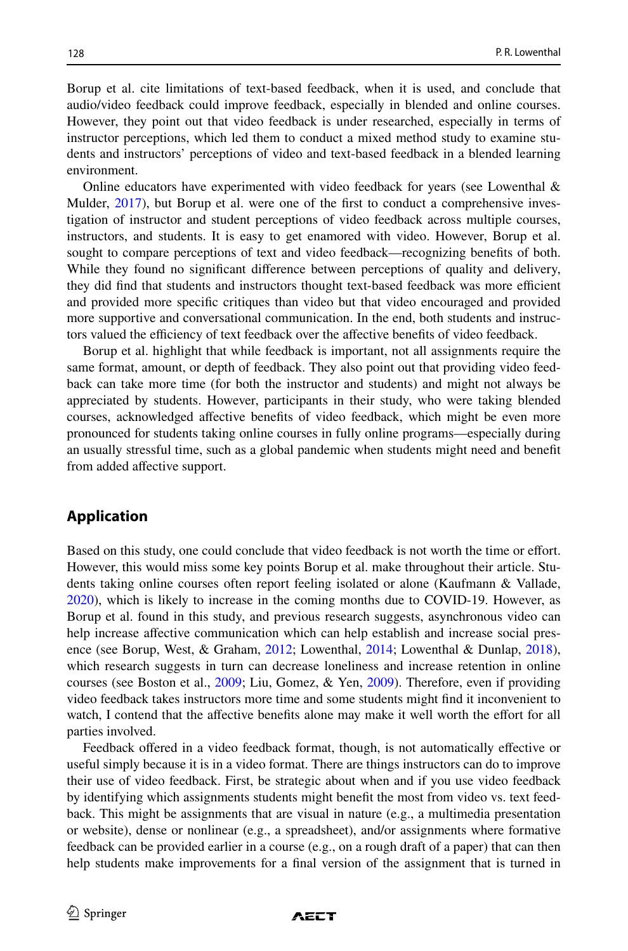Borup et al. cite limitations of text-based feedback, when it is used, and conclude that audio/video feedback could improve feedback, especially in blended and online courses. However, they point out that video feedback is under researched, especially in terms of instructor perceptions, which led them to conduct a mixed method study to examine students and instructors' perceptions of video and text-based feedback in a blended learning environment.

Online educators have experimented with video feedback for years (see Lowenthal  $\&$ Mulder, [2017](#page-4-0)), but Borup et al. were one of the first to conduct a comprehensive investigation of instructor and student perceptions of video feedback across multiple courses, instructors, and students. It is easy to get enamored with video. However, Borup et al. sought to compare perceptions of text and video feedback—recognizing benefts of both. While they found no signifcant diference between perceptions of quality and delivery, they did find that students and instructors thought text-based feedback was more efficient and provided more specifc critiques than video but that video encouraged and provided more supportive and conversational communication. In the end, both students and instructors valued the efficiency of text feedback over the affective benefits of video feedback.

Borup et al. highlight that while feedback is important, not all assignments require the same format, amount, or depth of feedback. They also point out that providing video feedback can take more time (for both the instructor and students) and might not always be appreciated by students. However, participants in their study, who were taking blended courses, acknowledged afective benefts of video feedback, which might be even more pronounced for students taking online courses in fully online programs—especially during an usually stressful time, such as a global pandemic when students might need and beneft from added afective support.

## **Application**

Based on this study, one could conclude that video feedback is not worth the time or efort. However, this would miss some key points Borup et al. make throughout their article. Students taking online courses often report feeling isolated or alone (Kaufmann & Vallade, [2020\)](#page-3-2), which is likely to increase in the coming months due to COVID-19. However, as Borup et al. found in this study, and previous research suggests, asynchronous video can help increase afective communication which can help establish and increase social presence (see Borup, West, & Graham, [2012;](#page-3-3) Lowenthal, [2014](#page-4-1); Lowenthal & Dunlap, [2018](#page-4-2)), which research suggests in turn can decrease loneliness and increase retention in online courses (see Boston et al., [2009](#page-3-4); Liu, Gomez, & Yen, [2009\)](#page-3-5). Therefore, even if providing video feedback takes instructors more time and some students might fnd it inconvenient to watch, I contend that the affective benefits alone may make it well worth the effort for all parties involved.

Feedback offered in a video feedback format, though, is not automatically effective or useful simply because it is in a video format. There are things instructors can do to improve their use of video feedback. First, be strategic about when and if you use video feedback by identifying which assignments students might beneft the most from video vs. text feedback. This might be assignments that are visual in nature (e.g., a multimedia presentation or website), dense or nonlinear (e.g., a spreadsheet), and/or assignments where formative feedback can be provided earlier in a course (e.g., on a rough draft of a paper) that can then help students make improvements for a fnal version of the assignment that is turned in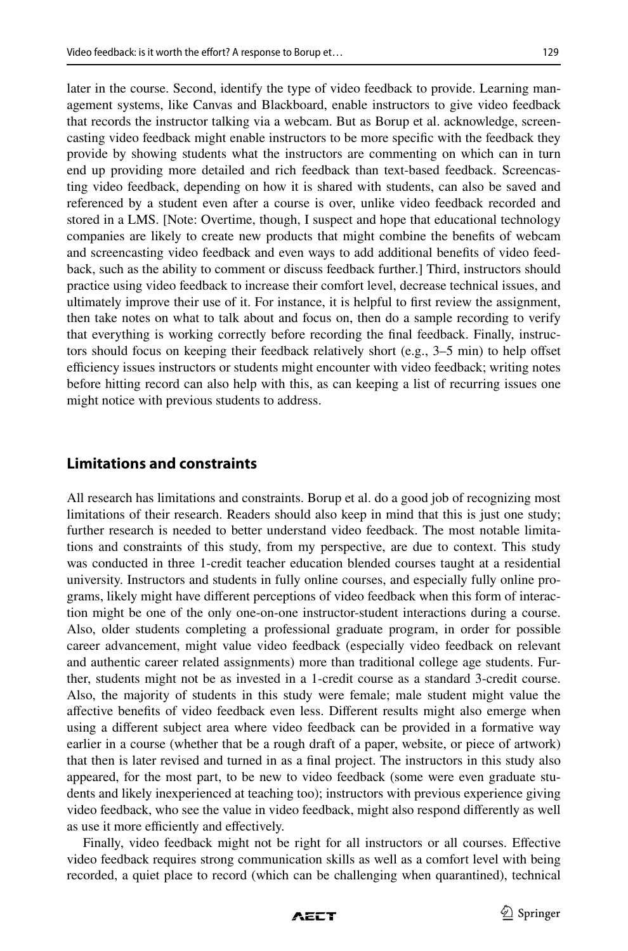later in the course. Second, identify the type of video feedback to provide. Learning management systems, like Canvas and Blackboard, enable instructors to give video feedback that records the instructor talking via a webcam. But as Borup et al. acknowledge, screencasting video feedback might enable instructors to be more specifc with the feedback they provide by showing students what the instructors are commenting on which can in turn end up providing more detailed and rich feedback than text-based feedback. Screencasting video feedback, depending on how it is shared with students, can also be saved and referenced by a student even after a course is over, unlike video feedback recorded and stored in a LMS. [Note: Overtime, though, I suspect and hope that educational technology companies are likely to create new products that might combine the benefts of webcam and screencasting video feedback and even ways to add additional benefts of video feedback, such as the ability to comment or discuss feedback further.] Third, instructors should practice using video feedback to increase their comfort level, decrease technical issues, and ultimately improve their use of it. For instance, it is helpful to frst review the assignment, then take notes on what to talk about and focus on, then do a sample recording to verify that everything is working correctly before recording the fnal feedback. Finally, instructors should focus on keeping their feedback relatively short (e.g.,  $3-5$  min) to help offset efficiency issues instructors or students might encounter with video feedback; writing notes before hitting record can also help with this, as can keeping a list of recurring issues one might notice with previous students to address.

# **Limitations and constraints**

All research has limitations and constraints. Borup et al. do a good job of recognizing most limitations of their research. Readers should also keep in mind that this is just one study; further research is needed to better understand video feedback. The most notable limitations and constraints of this study, from my perspective, are due to context. This study was conducted in three 1-credit teacher education blended courses taught at a residential university. Instructors and students in fully online courses, and especially fully online programs, likely might have diferent perceptions of video feedback when this form of interaction might be one of the only one-on-one instructor-student interactions during a course. Also, older students completing a professional graduate program, in order for possible career advancement, might value video feedback (especially video feedback on relevant and authentic career related assignments) more than traditional college age students. Further, students might not be as invested in a 1-credit course as a standard 3-credit course. Also, the majority of students in this study were female; male student might value the afective benefts of video feedback even less. Diferent results might also emerge when using a diferent subject area where video feedback can be provided in a formative way earlier in a course (whether that be a rough draft of a paper, website, or piece of artwork) that then is later revised and turned in as a fnal project. The instructors in this study also appeared, for the most part, to be new to video feedback (some were even graduate students and likely inexperienced at teaching too); instructors with previous experience giving video feedback, who see the value in video feedback, might also respond diferently as well as use it more efficiently and effectively.

Finally, video feedback might not be right for all instructors or all courses. Efective video feedback requires strong communication skills as well as a comfort level with being recorded, a quiet place to record (which can be challenging when quarantined), technical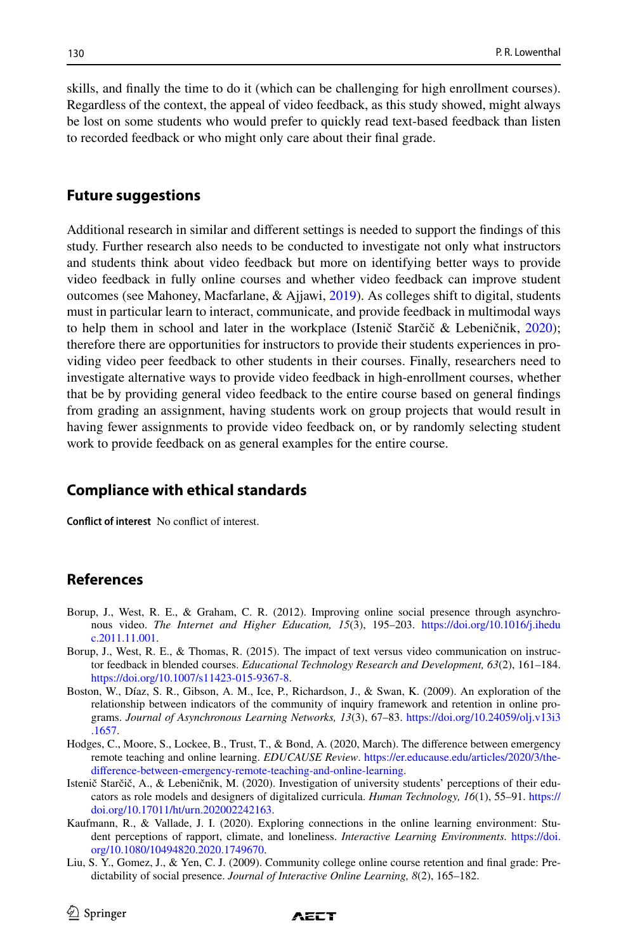skills, and fnally the time to do it (which can be challenging for high enrollment courses). Regardless of the context, the appeal of video feedback, as this study showed, might always be lost on some students who would prefer to quickly read text-based feedback than listen to recorded feedback or who might only care about their fnal grade.

### **Future suggestions**

Additional research in similar and diferent settings is needed to support the fndings of this study. Further research also needs to be conducted to investigate not only what instructors and students think about video feedback but more on identifying better ways to provide video feedback in fully online courses and whether video feedback can improve student outcomes (see Mahoney, Macfarlane, & Ajjawi, [2019\)](#page-4-3). As colleges shift to digital, students must in particular learn to interact, communicate, and provide feedback in multimodal ways to help them in school and later in the workplace (Istenič Starčič & Lebeničnik, [2020\)](#page-3-6); therefore there are opportunities for instructors to provide their students experiences in providing video peer feedback to other students in their courses. Finally, researchers need to investigate alternative ways to provide video feedback in high-enrollment courses, whether that be by providing general video feedback to the entire course based on general fndings from grading an assignment, having students work on group projects that would result in having fewer assignments to provide video feedback on, or by randomly selecting student work to provide feedback on as general examples for the entire course.

#### **Compliance with ethical standards**

**Confict of interest** No confict of interest.

#### **References**

- <span id="page-3-3"></span>Borup, J., West, R. E., & Graham, C. R. (2012). Improving online social presence through asynchronous video. *The Internet and Higher Education, 15*(3), 195–203. [https://doi.org/10.1016/j.ihedu](https://doi.org/10.1016/j.iheduc.2011.11.001) [c.2011.11.001](https://doi.org/10.1016/j.iheduc.2011.11.001).
- <span id="page-3-1"></span>Borup, J., West, R. E., & Thomas, R. (2015). The impact of text versus video communication on instructor feedback in blended courses. *Educational Technology Research and Development, 63*(2), 161–184. <https://doi.org/10.1007/s11423-015-9367-8>.
- <span id="page-3-4"></span>Boston, W., Díaz, S. R., Gibson, A. M., Ice, P., Richardson, J., & Swan, K. (2009). An exploration of the relationship between indicators of the community of inquiry framework and retention in online programs. *Journal of Asynchronous Learning Networks, 13*(3), 67–83. [https://doi.org/10.24059/olj.v13i3](https://doi.org/10.24059/olj.v13i3.1657) [.1657.](https://doi.org/10.24059/olj.v13i3.1657)
- <span id="page-3-0"></span>Hodges, C., Moore, S., Lockee, B., Trust, T., & Bond, A. (2020, March). The diference between emergency remote teaching and online learning. *EDUCAUSE Review*. [https://er.educause.edu/articles/2020/3/the](https://er.educause.edu/articles/2020/3/the-difference-between-emergency-remote-teaching-and-online-learning)[diference-between-emergency-remote-teaching-and-online-learning.](https://er.educause.edu/articles/2020/3/the-difference-between-emergency-remote-teaching-and-online-learning)
- <span id="page-3-6"></span>Istenič Starčič, A., & Lebeničnik, M. (2020). Investigation of university students' perceptions of their educators as role models and designers of digitalized curricula. *Human Technology, 16*(1), 55–91. [https://](https://doi.org/10.17011/ht/urn.202002242163) [doi.org/10.17011/ht/urn.202002242163](https://doi.org/10.17011/ht/urn.202002242163).
- <span id="page-3-2"></span>Kaufmann, R., & Vallade, J. I. (2020). Exploring connections in the online learning environment: Student perceptions of rapport, climate, and loneliness. *Interactive Learning Environments.* [https://doi.](https://doi.org/10.1080/10494820.2020.1749670) [org/10.1080/10494820.2020.1749670.](https://doi.org/10.1080/10494820.2020.1749670)
- <span id="page-3-5"></span>Liu, S. Y., Gomez, J., & Yen, C. J. (2009). Community college online course retention and fnal grade: Predictability of social presence. *Journal of Interactive Online Learning, 8*(2), 165–182.